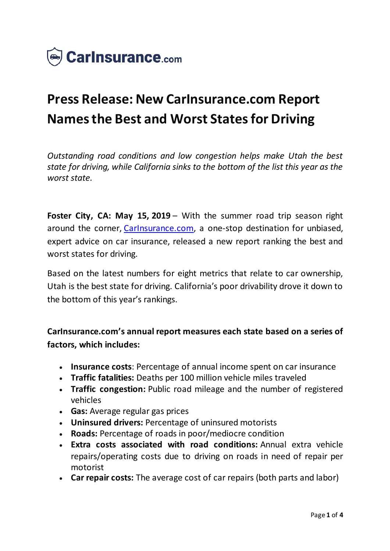

# **Press Release: New CarInsurance.com Report Names the Best and Worst States for Driving**

*Outstanding road conditions and low congestion helps make Utah the best state for driving, while California sinks to the bottom of the list this year as the worst state.*

**Foster City, CA: May 15, 2019** – With the summer road trip season right around the corner, Carinsurance.com, a one-stop destination for unbiased, expert advice on car insurance, released a new report ranking the best and worst states for driving.

Based on the latest numbers for eight metrics that relate to car ownership, Utah is the best state for driving. California's poor drivability drove it down to the bottom of this year's rankings.

**CarInsurance.com's annual report measures each state based on a series of factors, which includes:**

- **Insurance costs**: Percentage of annual income spent on car insurance
- **Traffic fatalities:** Deaths per 100 million vehicle miles traveled
- **Traffic congestion:** Public road mileage and the number of registered vehicles
- **Gas:** Average regular gas prices
- **Uninsured drivers:** Percentage of uninsured motorists
- **Roads:** Percentage of roads in poor/mediocre condition
- **Extra costs associated with road conditions:** Annual extra vehicle repairs/operating costs due to driving on roads in need of repair per motorist
- **Car repair costs:** The average cost of car repairs (both parts and labor)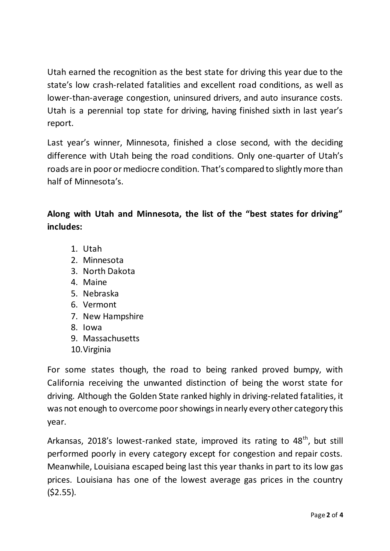Utah earned the recognition as the best state for driving this year due to the state's low crash-related fatalities and excellent road conditions, as well as lower-than-average congestion, uninsured drivers, and auto insurance costs. Utah is a perennial top state for driving, having finished sixth in last year's report.

Last year's winner, Minnesota, finished a close second, with the deciding difference with Utah being the road conditions. Only one-quarter of Utah's roads are in poor or mediocre condition. That's compared to slightly more than half of Minnesota's.

# **Along with Utah and Minnesota, the list of the "best states for driving" includes:**

- 1. Utah
- 2. Minnesota
- 3. North Dakota
- 4. Maine
- 5. Nebraska
- 6. Vermont
- 7. New Hampshire
- 8. Iowa
- 9. Massachusetts
- 10.Virginia

For some states though, the road to being ranked proved bumpy, with California receiving the unwanted distinction of being the worst state for driving. Although the Golden State ranked highly in driving-related fatalities, it was not enough to overcome poor showings in nearly every other category this year.

Arkansas, 2018's lowest-ranked state, improved its rating to 48<sup>th</sup>, but still performed poorly in every category except for congestion and repair costs. Meanwhile, Louisiana escaped being last this year thanks in part to its low gas prices. Louisiana has one of the lowest average gas prices in the country  $(52.55)$ .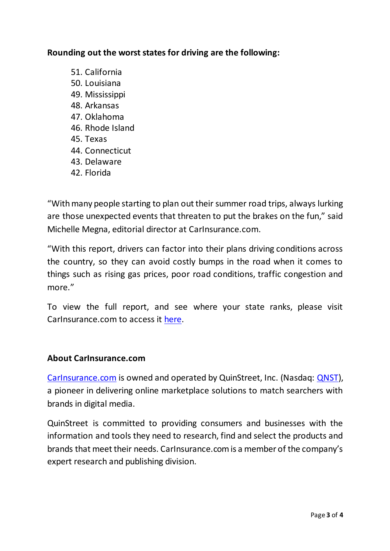## **Rounding out the worst states for driving are the following:**

- 51. California
- 50. Louisiana
- 49. Mississippi
- 48. Arkansas
- 47. Oklahoma
- 46. Rhode Island
- 45. Texas
- 44. Connecticut
- 43. Delaware
- 42. Florida

"With many people starting to plan out their summer road trips, always lurking are those unexpected events that threaten to put the brakes on the fun," said Michelle Megna, editorial director at CarInsurance.com.

"With this report, drivers can factor into their plans driving conditions across the country, so they can avoid costly bumps in the road when it comes to things such as rising gas prices, poor road conditions, traffic congestion and more."

To view the full report, and see where your state ranks, please visit CarInsurance.com to access it [here](https://www.carinsurance.com/Articles/best-worst-states-driving.aspx).

### **About CarInsurance.com**

[CarInsurance.com](https://www.carinsurance.com/) is owned and operated by QuinStreet, Inc. (Nasdaq: [QNST\)](https://www.nasdaq.com/market-activity/stocks/qnst), a pioneer in delivering online marketplace solutions to match searchers with brands in digital media.

QuinStreet is committed to providing consumers and businesses with the information and tools they need to research, find and select the products and brands that meet their needs. CarInsurance.com is a member of the company's expert research and publishing division.